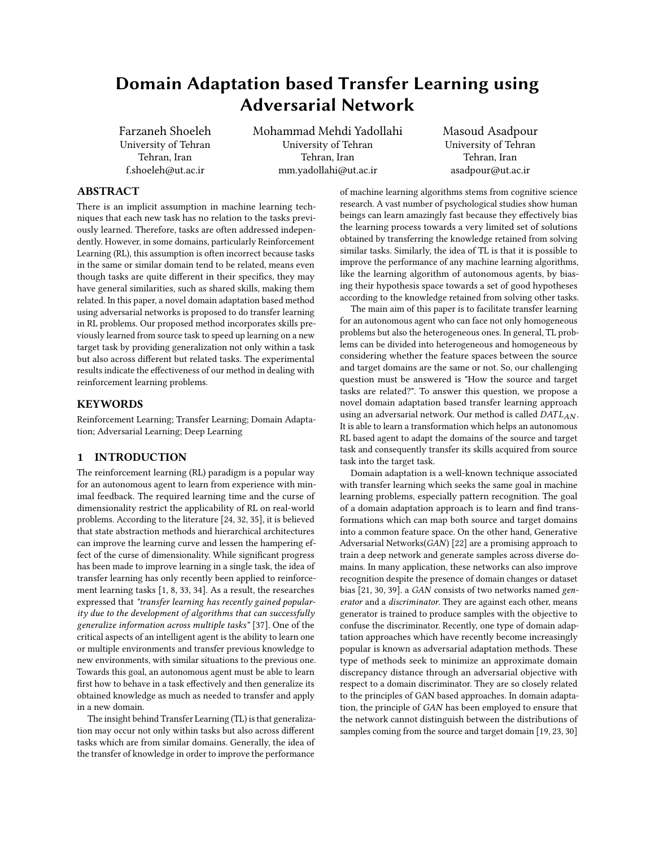# Domain Adaptation based Transfer Learning using Adversarial Network

Farzaneh Shoeleh University of Tehran Tehran, Iran f.shoeleh@ut.ac.ir

Mohammad Mehdi Yadollahi University of Tehran Tehran, Iran mm.yadollahi@ut.ac.ir

Masoud Asadpour University of Tehran Tehran, Iran asadpour@ut.ac.ir

## ABSTRACT

There is an implicit assumption in machine learning techniques that each new task has no relation to the tasks previously learned. Therefore, tasks are often addressed independently. However, in some domains, particularly Reinforcement Learning (RL), this assumption is often incorrect because tasks in the same or similar domain tend to be related, means even though tasks are quite different in their specifics, they may have general similarities, such as shared skills, making them related. In this paper, a novel domain adaptation based method using adversarial networks is proposed to do transfer learning in RL problems. Our proposed method incorporates skills previously learned from source task to speed up learning on a new target task by providing generalization not only within a task but also across different but related tasks. The experimental results indicate the effectiveness of our method in dealing with reinforcement learning problems.

## **KEYWORDS**

Reinforcement Learning; Transfer Learning; Domain Adaptation; Adversarial Learning; Deep Learning

## 1 INTRODUCTION

The reinforcement learning (RL) paradigm is a popular way for an autonomous agent to learn from experience with minimal feedback. The required learning time and the curse of dimensionality restrict the applicability of RL on real-world problems. According to the literature [\[24,](#page-6-0) [32,](#page-7-0) [35\]](#page-7-1), it is believed that state abstraction methods and hierarchical architectures can improve the learning curve and lessen the hampering effect of the curse of dimensionality. While significant progress has been made to improve learning in a single task, the idea of transfer learning has only recently been applied to reinforcement learning tasks [\[1,](#page-6-1) [8,](#page-6-2) [33,](#page-7-2) [34\]](#page-7-3). As a result, the researches expressed that "transfer learning has recently gained popularity due to the development of algorithms that can successfully generalize information across multiple tasks" [\[37\]](#page-7-4). One of the critical aspects of an intelligent agent is the ability to learn one or multiple environments and transfer previous knowledge to new environments, with similar situations to the previous one. Towards this goal, an autonomous agent must be able to learn first how to behave in a task effectively and then generalize its obtained knowledge as much as needed to transfer and apply in a new domain.

The insight behind Transfer Learning (TL) is that generalization may occur not only within tasks but also across different tasks which are from similar domains. Generally, the idea of the transfer of knowledge in order to improve the performance

of machine learning algorithms stems from cognitive science research. A vast number of psychological studies show human beings can learn amazingly fast because they effectively bias the learning process towards a very limited set of solutions obtained by transferring the knowledge retained from solving similar tasks. Similarly, the idea of TL is that it is possible to improve the performance of any machine learning algorithms, like the learning algorithm of autonomous agents, by biasing their hypothesis space towards a set of good hypotheses according to the knowledge retained from solving other tasks.

The main aim of this paper is to facilitate transfer learning for an autonomous agent who can face not only homogeneous problems but also the heterogeneous ones. In general, TL problems can be divided into heterogeneous and homogeneous by considering whether the feature spaces between the source and target domains are the same or not. So, our challenging question must be answered is "How the source and target tasks are related?". To answer this question, we propose a novel domain adaptation based transfer learning approach using an adversarial network. Our method is called  $DATA_{AN}$ . It is able to learn a transformation which helps an autonomous RL based agent to adapt the domains of the source and target task and consequently transfer its skills acquired from source task into the target task.

Domain adaptation is a well-known technique associated with transfer learning which seeks the same goal in machine learning problems, especially pattern recognition. The goal of a domain adaptation approach is to learn and find transformations which can map both source and target domains into a common feature space. On the other hand, Generative Adversarial Networks(GAN) [\[22\]](#page-6-3) are a promising approach to train a deep network and generate samples across diverse domains. In many application, these networks can also improve recognition despite the presence of domain changes or dataset bias [\[21,](#page-6-4) [30,](#page-7-5) [39\]](#page-7-6). a GAN consists of two networks named generator and a discriminator. They are against each other, means generator is trained to produce samples with the objective to confuse the discriminator. Recently, one type of domain adaptation approaches which have recently become increasingly popular is known as adversarial adaptation methods. These type of methods seek to minimize an approximate domain discrepancy distance through an adversarial objective with respect to a domain discriminator. They are so closely related to the principles of GAN based approaches. In domain adaptation, the principle of GAN has been employed to ensure that the network cannot distinguish between the distributions of samples coming from the source and target domain [\[19,](#page-6-5) [23,](#page-6-6) [30\]](#page-7-5)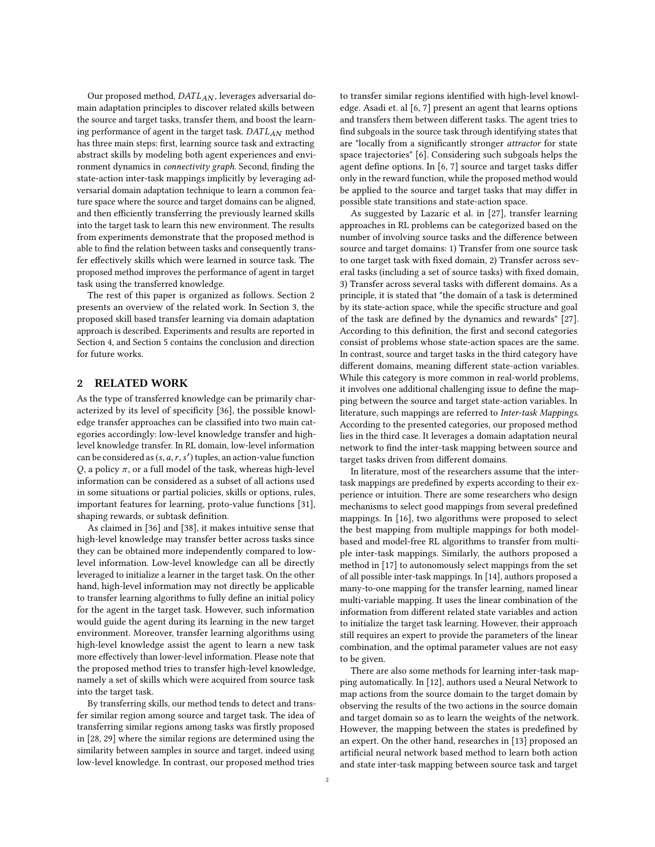Our proposed method, DATLAN, leverages adversarial domain adaptation principles to discover related skills between the source and target tasks, transfer them, and boost the learning performance of agent in the target task.  $DATA_{AN}$  method has three main steps: first, learning source task and extracting abstract skills by modeling both agent experiences and environment dynamics in connectivity graph. Second, finding the state-action inter-task mappings implicitly by leveraging adversarial domain adaptation technique to learn a common feature space where the source and target domains can be aligned, and then efficiently transferring the previously learned skills into the target task to learn this new environment. The results from experiments demonstrate that the proposed method is able to find the relation between tasks and consequently transfer effectively skills which were learned in source task. The proposed method improves the performance of agent in target task using the transferred knowledge.

The rest of this paper is organized as follows. Section [2](#page-1-0) presents an overview of the related work. In Section [3,](#page-2-0) the proposed skill based transfer learning via domain adaptation approach is described. Experiments and results are reported in Section [4,](#page-4-0) and Section [5](#page-6-7) contains the conclusion and direction for future works.

#### <span id="page-1-0"></span>2 RELATED WORK

As the type of transferred knowledge can be primarily characterized by its level of specificity [\[36\]](#page-7-7), the possible knowledge transfer approaches can be classified into two main categories accordingly: low-level knowledge transfer and highlevel knowledge transfer. In RL domain, low-level information can be considered as  $(s, a, r, s')$  tuples, an action-value function<br> $\Omega$ , a policy  $\pi$ , or a full model of the task, whereas high-level Q, a policy  $\pi$ , or a full model of the task, whereas high-level information can be considered as a subset of all actions used in some situations or partial policies, skills or options, rules, important features for learning, proto-value functions [\[31\]](#page-7-8), shaping rewards, or subtask definition.

As claimed in [\[36\]](#page-7-7) and [\[38\]](#page-7-9), it makes intuitive sense that high-level knowledge may transfer better across tasks since they can be obtained more independently compared to lowlevel information. Low-level knowledge can all be directly leveraged to initialize a learner in the target task. On the other hand, high-level information may not directly be applicable to transfer learning algorithms to fully define an initial policy for the agent in the target task. However, such information would guide the agent during its learning in the new target environment. Moreover, transfer learning algorithms using high-level knowledge assist the agent to learn a new task more effectively than lower-level information. Please note that the proposed method tries to transfer high-level knowledge, namely a set of skills which were acquired from source task into the target task.

By transferring skills, our method tends to detect and transfer similar region among source and target task. The idea of transferring similar regions among tasks was firstly proposed in [\[28,](#page-7-10) [29\]](#page-7-11) where the similar regions are determined using the similarity between samples in source and target, indeed using low-level knowledge. In contrast, our proposed method tries

to transfer similar regions identified with high-level knowledge. Asadi et. al [\[6,](#page-6-8) [7\]](#page-6-9) present an agent that learns options and transfers them between different tasks. The agent tries to find subgoals in the source task through identifying states that are "locally from a significantly stronger attractor for state space trajectories" [\[6\]](#page-6-8). Considering such subgoals helps the agent define options. In [\[6,](#page-6-8) [7\]](#page-6-9) source and target tasks differ only in the reward function, while the proposed method would be applied to the source and target tasks that may differ in possible state transitions and state-action space.

As suggested by Lazaric et al. in [\[27\]](#page-7-12), transfer learning approaches in RL problems can be categorized based on the number of involving source tasks and the difference between source and target domains: 1) Transfer from one source task to one target task with fixed domain, 2) Transfer across several tasks (including a set of source tasks) with fixed domain, 3) Transfer across several tasks with different domains. As a principle, it is stated that "the domain of a task is determined by its state-action space, while the specific structure and goal of the task are defined by the dynamics and rewards" [\[27\]](#page-7-12). According to this definition, the first and second categories consist of problems whose state-action spaces are the same. In contrast, source and target tasks in the third category have different domains, meaning different state-action variables. While this category is more common in real-world problems, it involves one additional challenging issue to define the mapping between the source and target state-action variables. In literature, such mappings are referred to Inter-task Mappings. According to the presented categories, our proposed method lies in the third case. It leverages a domain adaptation neural network to find the inter-task mapping between source and target tasks driven from different domains.

In literature, most of the researchers assume that the intertask mappings are predefined by experts according to their experience or intuition. There are some researchers who design mechanisms to select good mappings from several predefined mappings. In [\[16\]](#page-6-10), two algorithms were proposed to select the best mapping from multiple mappings for both modelbased and model-free RL algorithms to transfer from multiple inter-task mappings. Similarly, the authors proposed a method in [\[17\]](#page-6-11) to autonomously select mappings from the set of all possible inter-task mappings. In [\[14\]](#page-6-12), authors proposed a many-to-one mapping for the transfer learning, named linear multi-variable mapping. It uses the linear combination of the information from different related state variables and action to initialize the target task learning. However, their approach still requires an expert to provide the parameters of the linear combination, and the optimal parameter values are not easy to be given.

There are also some methods for learning inter-task mapping automatically. In [\[12\]](#page-6-13), authors used a Neural Network to map actions from the source domain to the target domain by observing the results of the two actions in the source domain and target domain so as to learn the weights of the network. However, the mapping between the states is predefined by an expert. On the other hand, researches in [\[13\]](#page-6-14) proposed an artificial neural network based method to learn both action and state inter-task mapping between source task and target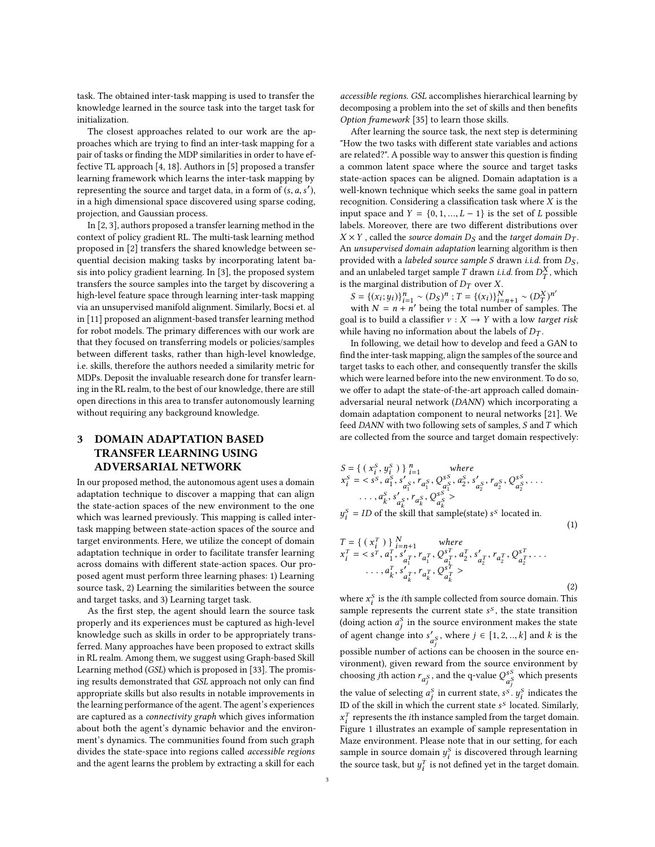task. The obtained inter-task mapping is used to transfer the knowledge learned in the source task into the target task for initialization.

The closest approaches related to our work are the approaches which are trying to find an inter-task mapping for a pair of tasks or finding the MDP similarities in order to have effective TL approach [\[4,](#page-6-15) [18\]](#page-6-16). Authors in [\[5\]](#page-6-17) proposed a transfer learning framework which learns the inter-task mapping by representing the source and target data, in a form of  $(s, a, s')$ ,<br>in a high dimensional space discovered using space coding in a high dimensional space discovered using sparse coding, projection, and Gaussian process.

In [\[2,](#page-6-18) [3\]](#page-6-19), authors proposed a transfer learning method in the context of policy gradient RL. The multi-task learning method proposed in [\[2\]](#page-6-18) transfers the shared knowledge between sequential decision making tasks by incorporating latent basis into policy gradient learning. In [\[3\]](#page-6-19), the proposed system transfers the source samples into the target by discovering a high-level feature space through learning inter-task mapping via an unsupervised manifold alignment. Similarly, Bocsi et. al in [\[11\]](#page-6-20) proposed an alignment-based transfer learning method for robot models. The primary differences with our work are that they focused on transferring models or policies/samples between different tasks, rather than high-level knowledge, i.e. skills, therefore the authors needed a similarity metric for MDPs. Deposit the invaluable research done for transfer learning in the RL realm, to the best of our knowledge, there are still open directions in this area to transfer autonomously learning without requiring any background knowledge.

## <span id="page-2-0"></span>3 DOMAIN ADAPTATION BASED TRANSFER LEARNING USING ADVERSARIAL NETWORK

In our proposed method, the autonomous agent uses a domain adaptation technique to discover a mapping that can align the state-action spaces of the new environment to the one which was learned previously. This mapping is called intertask mapping between state-action spaces of the source and target environments. Here, we utilize the concept of domain adaptation technique in order to facilitate transfer learning across domains with different state-action spaces. Our proposed agent must perform three learning phases: 1) Learning source task, 2) Learning the similarities between the source and target tasks, and 3) Learning target task.

As the first step, the agent should learn the source task properly and its experiences must be captured as high-level knowledge such as skills in order to be appropriately transferred. Many approaches have been proposed to extract skills in RL realm. Among them, we suggest using Graph-based Skill Learning method (GSL) which is proposed in [\[33\]](#page-7-2). The promising results demonstrated that GSL approach not only can find appropriate skills but also results in notable improvements in the learning performance of the agent. The agent's experiences are captured as a connectivity graph which gives information about both the agent's dynamic behavior and the environment's dynamics. The communities found from such graph divides the state-space into regions called accessible regions and the agent learns the problem by extracting a skill for each

accessible regions. GSL accomplishes hierarchical learning by decomposing a problem into the set of skills and then benefits Option framework [\[35\]](#page-7-1) to learn those skills.

After learning the source task, the next step is determining "How the two tasks with different state variables and actions are related?". A possible way to answer this question is finding a common latent space where the source and target tasks state-action spaces can be aligned. Domain adaptation is a well-known technique which seeks the same goal in pattern recognition. Considering a classification task where  $X$  is the input space and  $Y = \{0, 1, ..., L - 1\}$  is the set of L possible labels. Moreover, there are two different distributions over  $X \times Y$ , called the source domain  $D<sub>S</sub>$  and the target domain  $D<sub>T</sub>$ . An unsupervised domain adaptation learning algorithm is then provided with a labeled source sample S drawn i.i.d. from  $D_S$ , and an unlabeled target sample T drawn *i.i.d.* from  $D_T^X$ , which<br>is the marginal distribution of Dr. over X. is the marginal distribution of  $D_T$  over X.

$$
S = \{(x_i; y_i)\}_{i=1}^n \sim (D_S)^n
$$
;  $T = \{(x_i)\}_{i=n+1}^N \sim (D_T^X)^{n'}$   
with  $N = n + n'$  being the total number of samples

 $S = \{(x_i; y_i)\}_{i=1}^n \sim (D_S)^n$ ;  $T = \{(x_i)\}_{i=n+1}^N \sim (D_T^X)^{n'}$ <br>with  $N = n + n'$  being the total number of samples. The goal is to build a classifier  $v : X \rightarrow Y$  with a low target risk while having no information about the labels of  $D_T$ .

In following, we detail how to develop and feed a GAN to find the inter-task mapping, align the samples of the source and target tasks to each other, and consequently transfer the skills which were learned before into the new environment. To do so, we offer to adapt the state-of-the-art approach called domainadversarial neural network (DANN) which incorporating a domain adaptation component to neural networks [\[21\]](#page-6-4). We feed DANN with two following sets of samples, S and T which are collected from the source and target domain respectively:

$$
S = \{ (x_i^S, y_i^S) \}_{i=1}^n \quad \text{where}
$$
  
\n
$$
x_i^S = \langle s^S, a_1^S, s'_{a_1^S}, r_{a_1^S}, Q_{a_2^S}^{S^S}, a_2^S, s'_{a_2^S}, r_{a_2^S}, Q_{a_2^S}^{S^S}, \dots
$$
  
\n
$$
\dots, a_k^S, s'_{a_k^S}, r_{a_k^S}, Q_{a_k^S}^{S^S} >
$$
  
\n
$$
y_i^S = ID \text{ of the skill that sample(state) } s^S \text{ located in.}
$$

$$
T = \{ (x_i^T) \}^N_{i=n+1} \quad \text{where}
$$
  
\n
$$
x_i^T = \langle s^T, a_1^T, s'_{a_1^T}, r_{a_1^T}, Q_{a_1^T}^{s^T}, a_2^T, s'_{a_2^T}, r_{a_2^T}, Q_{a_2^T}^{s^T}, \dots
$$
  
\n
$$
\dots, a_k^T, s'_{a_k^T}, r_{a_k^T}, Q_{a_k^T}^{s^T} \rangle
$$
  
\n(2)

(1)

where  $x_i^s$  is the *i*th sample collected from source domain. This sample represents the current state  $s^s$ , the state transition sample represents the current state  $s^s$ , the state transition (doing action  $a^s$  in the source environment makes the state (doing action  $a_j^S$  in the source environment makes the state of agent change into  $s'_{a_j^S}$ , where  $j \in [1, 2, ..., k]$  and k is the possible number of actions can be choosen in the source environment), given reward from the source environment by choosing *j*th action  $r_{a_j^S}$ , and the q-value  $Q_{a_j^S}^{s_S}$  which presents the value of selecting  $a_j^S$  in current state,  $s^S \cdot y_i^S$  indicates the ID of the skill in which the current state  $s^S$  located. Similarly,  $r^T$  represents the ith instance sampled from the target domain.  $\overline{r_i}$  is the interest of sample representation in Figure [1](#page-3-0) illustrates an example of sample representation in  $T_i$  represents the *i*th instance sampled from the target domain.<br>igure 1 illustrates an example of sample representation in Maze environment. Please note that in our setting, for each sample in source domain  $y_i^S$  is discovered through learning<br>the source took, but  $y_i^T$  is not defined yet in the terget domain the source task, but  $y_i^T$  is not defined yet in the target domain.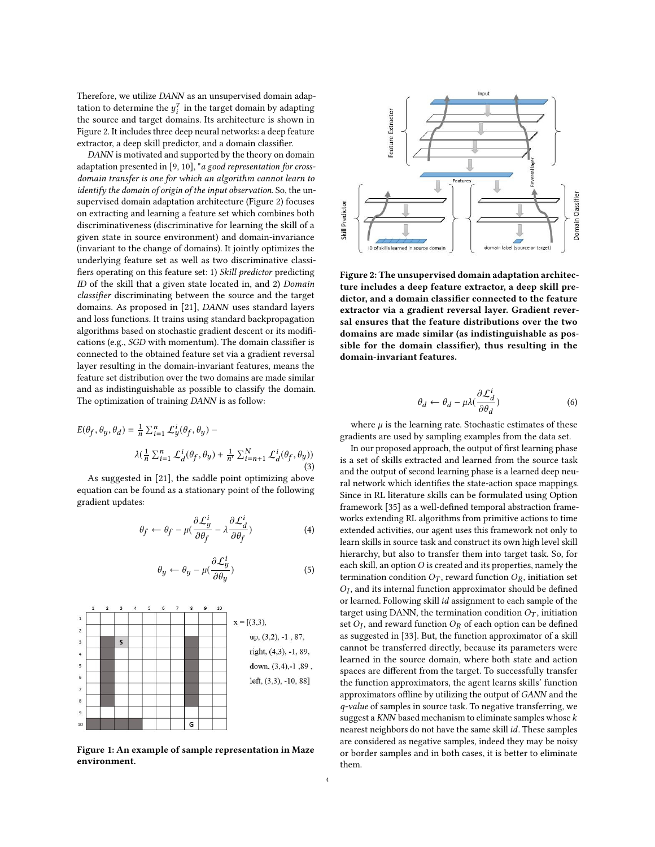Therefore, we utilize DANN as an unsupervised domain adaptation to determine the  $y_i^T$  in the target domain by adapting<br>the source and target domains. Its architecture is shown in the source and target domains. Its architecture is shown in Figure [2.](#page-3-1) It includes three deep neural networks: a deep feature extractor, a deep skill predictor, and a domain classifier.

DANN is motivated and supported by the theory on domain adaptation presented in [\[9,](#page-6-21) [10\]](#page-6-22), "a good representation for crossdomain transfer is one for which an algorithm cannot learn to identify the domain of origin of the input observation. So, the unsupervised domain adaptation architecture (Figure [2\)](#page-3-1) focuses on extracting and learning a feature set which combines both discriminativeness (discriminative for learning the skill of a given state in source environment) and domain-invariance (invariant to the change of domains). It jointly optimizes the underlying feature set as well as two discriminative classifiers operating on this feature set: 1) Skill predictor predicting ID of the skill that a given state located in, and 2) Domain classifier discriminating between the source and the target domains. As proposed in [\[21\]](#page-6-4), DANN uses standard layers and loss functions. It trains using standard backpropagation algorithms based on stochastic gradient descent or its modifications (e.g., SGD with momentum). The domain classifier is connected to the obtained feature set via a gradient reversal layer resulting in the domain-invariant features, means the feature set distribution over the two domains are made similar and as indistinguishable as possible to classify the domain. The optimization of training DANN is as follow:

$$
E(\theta_f, \theta_y, \theta_d) = \frac{1}{n} \sum_{i=1}^n \mathcal{L}_y^i(\theta_f, \theta_y) -
$$
  

$$
\lambda(\frac{1}{n} \sum_{i=1}^n \mathcal{L}_d^i(\theta_f, \theta_y) + \frac{1}{n'} \sum_{i=n+1}^N \mathcal{L}_d^i(\theta_f, \theta_y))
$$
  
(3)

As suggested in [\[21\]](#page-6-4), the saddle point optimizing above equation can be found as a stationary point of the following gradient updates:

$$
\theta_f \leftarrow \theta_f - \mu \left( \frac{\partial \mathcal{L}_y^i}{\partial \theta_f} - \lambda \frac{\partial \mathcal{L}_d^i}{\partial \theta_f} \right) \tag{4}
$$

$$
\theta_y \leftarrow \theta_y - \mu \left( \frac{\partial \mathcal{L}_y^i}{\partial \theta_y} \right) \tag{5}
$$

<span id="page-3-0"></span>

Figure 1: An example of sample representation in Maze environment.

<span id="page-3-1"></span>

Figure 2: The unsupervised domain adaptation architecture includes a deep feature extractor, a deep skill predictor, and a domain classifier connected to the feature extractor via a gradient reversal layer. Gradient reversal ensures that the feature distributions over the two domains are made similar (as indistinguishable as possible for the domain classifier), thus resulting in the domain-invariant features.

$$
\theta_d \leftarrow \theta_d - \mu \lambda \left( \frac{\partial \mathcal{L}_d^i}{\partial \theta_d} \right) \tag{6}
$$

where  $\mu$  is the learning rate. Stochastic estimates of these<br>pdients are used by sampling examples from the data set gradients are used by sampling examples from the data set.

In our proposed approach, the output of first learning phase is a set of skills extracted and learned from the source task and the output of second learning phase is a learned deep neural network which identifies the state-action space mappings. Since in RL literature skills can be formulated using Option framework [\[35\]](#page-7-1) as a well-defined temporal abstraction frameworks extending RL algorithms from primitive actions to time extended activities, our agent uses this framework not only to learn skills in source task and construct its own high level skill hierarchy, but also to transfer them into target task. So, for each skill, an option  $O$  is created and its properties, namely the termination condition  $O_T$ , reward function  $O_R$ , initiation set or learned. Following skill *id* assignment to each sample of the target using  $DANN$  the termination condition  $O<sub>E</sub>$  initiation  $O_I$ , and its internal function approximator should be defined target using DANN, the termination condition  $O_T$ , initiation set  $O_I$ , and reward function  $O_R$  of each option can be defined<br>as suggested in [33]. But, the function approximator of a skill as suggested in [\[33\]](#page-7-2). But, the function approximator of a skill cannot be transferred directly, because its parameters were learned in the source domain, where both state and action spaces are different from the target. To successfully transfer the function approximators, the agent learns skills' function approximators offline by utilizing the output of GANN and the q-value of samples in source task. To negative transferring, we suggest a  $KNN$  based mechanism to eliminate samples whose  $k$ nearest neighbors do not have the same skill id. These samples are considered as negative samples, indeed they may be noisy or border samples and in both cases, it is better to eliminate them.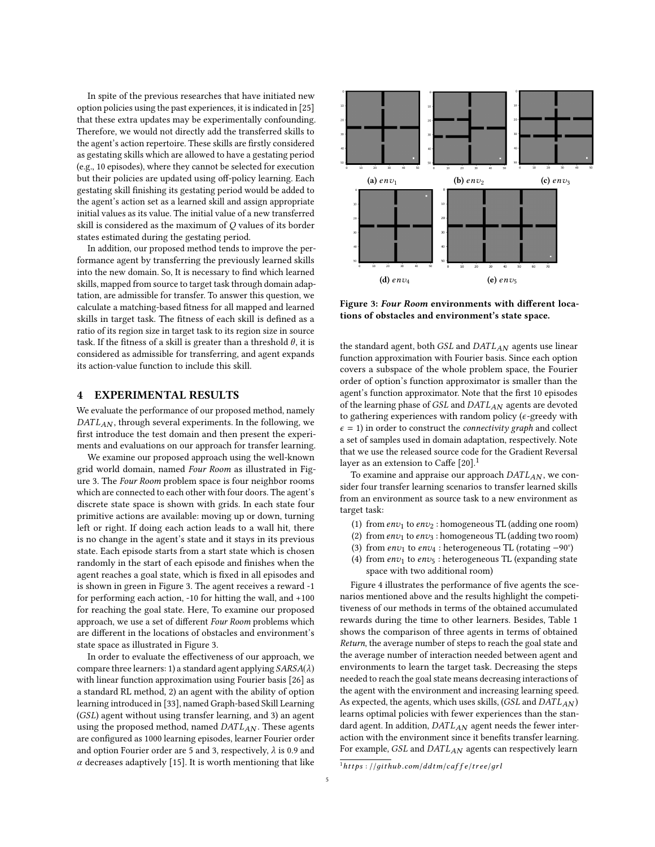In spite of the previous researches that have initiated new option policies using the past experiences, it is indicated in [\[25\]](#page-6-23) that these extra updates may be experimentally confounding. Therefore, we would not directly add the transferred skills to the agent's action repertoire. These skills are firstly considered as gestating skills which are allowed to have a gestating period (e.g., 10 episodes), where they cannot be selected for execution but their policies are updated using off-policy learning. Each gestating skill finishing its gestating period would be added to the agent's action set as a learned skill and assign appropriate initial values as its value. The initial value of a new transferred skill is considered as the maximum of Q values of its border states estimated during the gestating period.

In addition, our proposed method tends to improve the performance agent by transferring the previously learned skills into the new domain. So, It is necessary to find which learned skills, mapped from source to target task through domain adaptation, are admissible for transfer. To answer this question, we calculate a matching-based fitness for all mapped and learned skills in target task. The fitness of each skill is defined as a ratio of its region size in target task to its region size in source task. If the fitness of a skill is greater than a threshold  $\theta$ , it is considered as admissible for transferring, and agent expands its action-value function to include this skill.

#### <span id="page-4-0"></span>4 EXPERIMENTAL RESULTS

We evaluate the performance of our proposed method, namely  $DATA<sub>AN</sub>$ , through several experiments. In the following, we first introduce the test domain and then present the experiments and evaluations on our approach for transfer learning.

We examine our proposed approach using the well-known grid world domain, named Four Room as illustrated in Figure [3.](#page-4-1) The Four Room problem space is four neighbor rooms which are connected to each other with four doors. The agent's discrete state space is shown with grids. In each state four primitive actions are available: moving up or down, turning left or right. If doing each action leads to a wall hit, there is no change in the agent's state and it stays in its previous state. Each episode starts from a start state which is chosen randomly in the start of each episode and finishes when the agent reaches a goal state, which is fixed in all episodes and is shown in green in Figure [3.](#page-4-1) The agent receives a reward -1 for performing each action, -10 for hitting the wall, and +100 for reaching the goal state. Here, To examine our proposed approach, we use a set of different Four Room problems which are different in the locations of obstacles and environment's state space as illustrated in Figure [3.](#page-4-1)

In order to evaluate the effectiveness of our approach, we compare three learners: 1) a standard agent applying  $SARSA(\lambda)$ with linear function approximation using Fourier basis [\[26\]](#page-6-24) as a standard RL method, 2) an agent with the ability of option learning introduced in [\[33\]](#page-7-2), named Graph-based Skill Learning (GSL) agent without using transfer learning, and 3) an agent using the proposed method, named  $DATA_{AN}$ . These agents are configured as 1000 learning episodes, learner Fourier order and option Fourier order are 5 and 3, respectively,  $\lambda$  is 0.9 and  $\alpha$  decreases adaptively [\[15\]](#page-6-25). It is worth mentioning that like

<span id="page-4-1"></span>

Figure 3: Four Room environments with different locations of obstacles and environment's state space.

the standard agent, both  $GSL$  and  $DATA_{AN}$  agents use linear function approximation with Fourier basis. Since each option covers a subspace of the whole problem space, the Fourier order of option's function approximator is smaller than the agent's function approximator. Note that the first 10 episodes of the learning phase of GSL and DATLAN agents are devoted to gathering experiences with random policy ( $\epsilon$ -greedy with  $\epsilon = 1$ ) in order to construct the *connectivity graph* and collect a set of samples used in domain adaptation, respectively. Note that we use the released source code for the Gradient Reversal layer as an extension to Caffe  $[20]$ .<sup>[1](#page-4-2)</sup>

To examine and appraise our approach DATLAN, we consider four transfer learning scenarios to transfer learned skills from an environment as source task to a new environment as target task:

- (1) from  $env_1$  to  $env_2$ : homogeneous TL (adding one room)
- (2) from  $env_1$  to  $env_3$ : homogeneous TL (adding two room)
- (3) from  $env_1$  to  $env_4$ : heterogeneous TL (rotating −90°)
- (4) from  $env_1$  to  $env_5$ : heterogeneous TL (expanding state space with two additional room)

Figure [4](#page-5-0) illustrates the performance of five agents the scenarios mentioned above and the results highlight the competitiveness of our methods in terms of the obtained accumulated rewards during the time to other learners. Besides, Table [1](#page-5-1) shows the comparison of three agents in terms of obtained Return, the average number of steps to reach the goal state and the average number of interaction needed between agent and environments to learn the target task. Decreasing the steps needed to reach the goal state means decreasing interactions of the agent with the environment and increasing learning speed. As expected, the agents, which uses skills,  $(GSL$  and  $DATA_{AN}$ ) learns optimal policies with fewer experiences than the standard agent. In addition,  $DATA_{AN}$  agent needs the fewer interaction with the environment since it benefits transfer learning. For example, GSL and DATLAN agents can respectively learn

<span id="page-4-2"></span> $^{1}$ https : //github.com/ddtm/caffe/tree/grl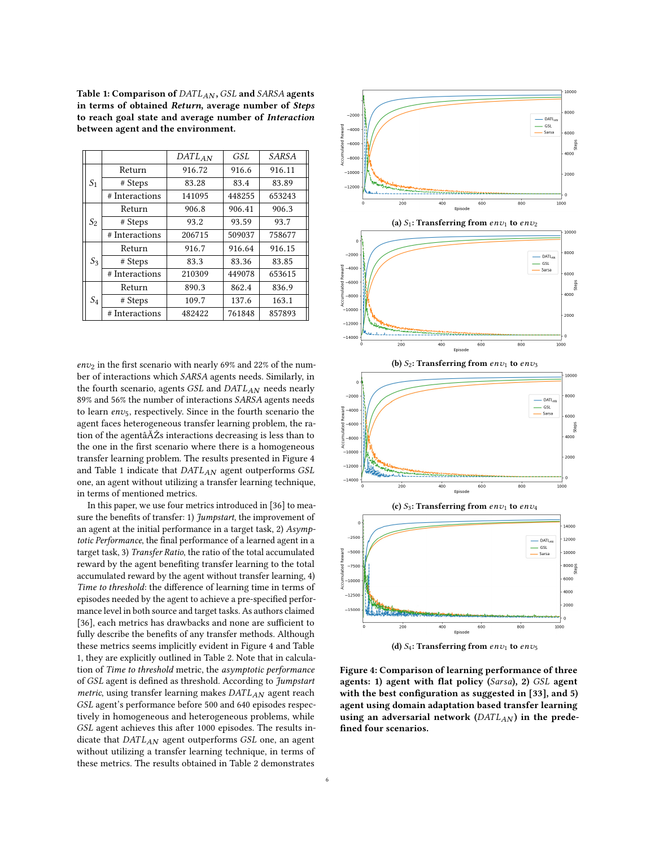<span id="page-5-1"></span>Table 1: Comparison of DATLAN, GSL and SARSA agents in terms of obtained Return, average number of Steps to reach goal state and average number of Interaction between agent and the environment.

|                |                | $DATA_{AN}$ | GSL    | <b>SARSA</b> |
|----------------|----------------|-------------|--------|--------------|
| S <sub>1</sub> | Return         | 916.72      | 916.6  | 916.11       |
|                | # Steps        | 83.28       | 83.4   | 83.89        |
|                | # Interactions | 141095      | 448255 | 653243       |
| $S_2$          | Return         | 906.8       | 906.41 | 906.3        |
|                | # Steps        | 93.2        | 93.59  | 93.7         |
|                | # Interactions | 206715      | 509037 | 758677       |
| $S_3$          | Return         | 916.7       | 916.64 | 916.15       |
|                | # Steps        | 83.3        | 83.36  | 83.85        |
|                | # Interactions | 210309      | 449078 | 653615       |
| $S_4$          | Return         | 890.3       | 862.4  | 836.9        |
|                | # Steps        | 109.7       | 137.6  | 163.1        |
|                | # Interactions | 482422      | 761848 | 857893       |

 $env_2$  in the first scenario with nearly 69% and 22% of the number of interactions which SARSA agents needs. Similarly, in the fourth scenario, agents  $GSL$  and  $DATA_{AN}$  needs nearly 89% and 56% the number of interactions SARSA agents needs to learn  $env_5$ , respectively. Since in the fourth scenario the agent faces heterogeneous transfer learning problem, the ration of the agentâĂŹs interactions decreasing is less than to the one in the first scenario where there is a homogeneous transfer learning problem. The results presented in Figure [4](#page-5-0) and Table [1](#page-5-1) indicate that  $DATA_{AN}$  agent outperforms  $GSL$ one, an agent without utilizing a transfer learning technique, in terms of mentioned metrics.

In this paper, we use four metrics introduced in [\[36\]](#page-7-7) to measure the benefits of transfer: 1) Jumpstart, the improvement of an agent at the initial performance in a target task, 2) Asymptotic Performance, the final performance of a learned agent in a target task, 3) Transfer Ratio, the ratio of the total accumulated reward by the agent benefiting transfer learning to the total accumulated reward by the agent without transfer learning, 4) Time to threshold: the difference of learning time in terms of episodes needed by the agent to achieve a pre-specified performance level in both source and target tasks. As authors claimed [\[36\]](#page-7-7), each metrics has drawbacks and none are sufficient to fully describe the benefits of any transfer methods. Although these metrics seems implicitly evident in Figure [4](#page-5-0) and Table [1,](#page-5-1) they are explicitly outlined in Table [2.](#page-6-27) Note that in calculation of Time to threshold metric, the asymptotic performance of GSL agent is defined as threshold. According to Jumpstart metric, using transfer learning makes  $DATA_{AN}$  agent reach GSL agent's performance before 500 and 640 episodes respectively in homogeneous and heterogeneous problems, while GSL agent achieves this after 1000 episodes. The results indicate that  $DATA_{AN}$  agent outperforms  $GSL$  one, an agent without utilizing a transfer learning technique, in terms of these metrics. The results obtained in Table [2](#page-6-27) demonstrates

<span id="page-5-0"></span>

(d)  $S_4$ : Transferring from  $env_1$  to  $env_5$ 

Figure 4: Comparison of learning performance of three agents: 1) agent with flat policy (Sarsa), 2) GSL agent with the best configuration as suggested in [\[33\]](#page-7-2), and 5) agent using domain adaptation based transfer learning using an adversarial network ( $DATA_{AN}$ ) in the predefined four scenarios.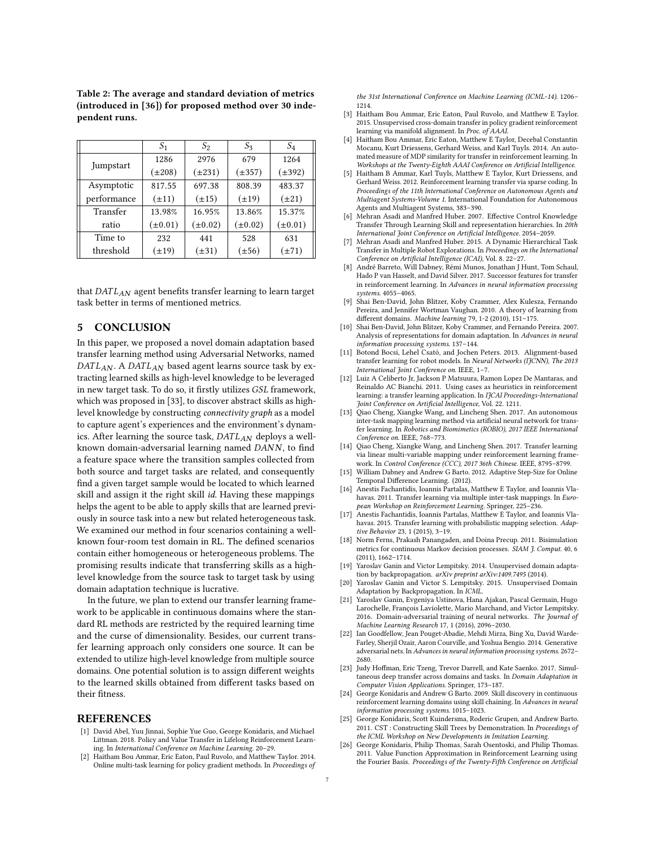|             | S <sub>1</sub> | $S_2$        | S3           | $S_4$        |
|-------------|----------------|--------------|--------------|--------------|
| Jumpstart   | 1286           | 2976         | 679          | 1264         |
|             | $(\pm 208)$    | $(\pm 231)$  | $(\pm 357)$  | $(\pm 392)$  |
| Asymptotic  | 817.55         | 697.38       | 808.39       | 483.37       |
| performance | $(\pm 11)$     | $(\pm 15)$   | $(\pm 19)$   | $(\pm 21)$   |
| Transfer    | 13.98%         | 16.95%       | 13.86%       | 15.37%       |
| ratio       | $(\pm 0.01)$   | $(\pm 0.02)$ | $(\pm 0.02)$ | $(\pm 0.01)$ |
| Time to     | 232            | 441          | 528          | 631          |
| threshold   | $(\pm 19)$     | $(\pm 31)$   | $(\pm 56)$   | $(\pm 71)$   |

<span id="page-6-27"></span>Table 2: The average and standard deviation of metrics (introduced in [\[36\]](#page-7-7)) for proposed method over 30 independent runs.

that  $DATA<sub>AN</sub>$  agent benefits transfer learning to learn target task better in terms of mentioned metrics.

#### <span id="page-6-7"></span>5 CONCLUSION

In this paper, we proposed a novel domain adaptation based transfer learning method using Adversarial Networks, named  $DATA_{AN}$ . A DAT $L_{AN}$  based agent learns source task by extracting learned skills as high-level knowledge to be leveraged in new target task. To do so, it firstly utilizes GSL framework, which was proposed in [\[33\]](#page-7-2), to discover abstract skills as highlevel knowledge by constructing connectivity graph as a model to capture agent's experiences and the environment's dynamics. After learning the source task,  $DATA_{AN}$  deploys a wellknown domain-adversarial learning named DANN, to find a feature space where the transition samples collected from both source and target tasks are related, and consequently find a given target sample would be located to which learned skill and assign it the right skill id. Having these mappings helps the agent to be able to apply skills that are learned previously in source task into a new but related heterogeneous task. We examined our method in four scenarios containing a wellknown four-room test domain in RL. The defined scenarios contain either homogeneous or heterogeneous problems. The promising results indicate that transferring skills as a highlevel knowledge from the source task to target task by using domain adaptation technique is lucrative.

In the future, we plan to extend our transfer learning framework to be applicable in continuous domains where the standard RL methods are restricted by the required learning time and the curse of dimensionality. Besides, our current transfer learning approach only considers one source. It can be extended to utilize high-level knowledge from multiple source domains. One potential solution is to assign different weights to the learned skills obtained from different tasks based on their fitness.

#### **REFERENCES**

- <span id="page-6-1"></span>[1] David Abel, Yuu Jinnai, Sophie Yue Guo, George Konidaris, and Michael Littman. 2018. Policy and Value Transfer in Lifelong Reinforcement Learning. In International Conference on Machine Learning. 20–29.
- <span id="page-6-18"></span>[2] Haitham Bou Ammar, Eric Eaton, Paul Ruvolo, and Matthew Taylor. 2014. Online multi-task learning for policy gradient methods. In Proceedings of

the 31st International Conference on Machine Learning (ICML-14). 1206– 1214.

- <span id="page-6-19"></span>[3] Haitham Bou Ammar, Eric Eaton, Paul Ruvolo, and Matthew E Taylor. 2015. Unsupervised cross-domain transfer in policy gradient reinforcement learning via manifold alignment. In Proc. of AAAI.
- <span id="page-6-15"></span>[4] Haitham Bou Ammar, Eric Eaton, Matthew E Taylor, Decebal Constantin Mocanu, Kurt Driessens, Gerhard Weiss, and Karl Tuyls. 2014. An automated measure of MDP similarity for transfer in reinforcement learning. In Workshops at the Twenty-Eighth AAAI Conference on Artificial Intelligence.
- <span id="page-6-17"></span>[5] Haitham B Ammar, Karl Tuyls, Matthew E Taylor, Kurt Driessens, and Gerhard Weiss. 2012. Reinforcement learning transfer via sparse coding. In Proceedings of the 11th International Conference on Autonomous Agents and Multiagent Systems-Volume 1. International Foundation for Autonomous Agents and Multiagent Systems, 383–390.
- <span id="page-6-8"></span>Mehran Asadi and Manfred Huber. 2007. Effective Control Knowledge Transfer Through Learning Skill and representation hierarchies. In 20th International Joint Conference on Artificial Intelligence. 2054–2059.
- <span id="page-6-9"></span>Mehran Asadi and Manfred Huber. 2015. A Dynamic Hierarchical Task Transfer in Multiple Robot Explorations. In Proceedings on the International Conference on Artificial Intelligence (ICAI), Vol. 8. 22–27.
- <span id="page-6-2"></span>[8] André Barreto, Will Dabney, Rémi Munos, Jonathan J Hunt, Tom Schaul, Hado P van Hasselt, and David Silver. 2017. Successor features for transfer in reinforcement learning. In Advances in neural information processing systems. 4055–4065.
- <span id="page-6-21"></span>[9] Shai Ben-David, John Blitzer, Koby Crammer, Alex Kulesza, Fernando Pereira, and Jennifer Wortman Vaughan. 2010. A theory of learning from different domains. Machine learning 79, 1-2 (2010), 151–175.
- <span id="page-6-22"></span>[10] Shai Ben-David, John Blitzer, Koby Crammer, and Fernando Pereira. 2007. Analysis of representations for domain adaptation. In Advances in neural information processing systems. 137–144.
- <span id="page-6-20"></span>[11] Botond Bocsi, Lehel Csató, and Jochen Peters. 2013. Alignment-based transfer learning for robot models. In Neural Networks (IJCNN), The 2013 International Joint Conference on. IEEE, 1–7.
- <span id="page-6-13"></span>[12] Luiz A Celiberto Jr, Jackson P Matsuura, Ramon Lopez De Mantaras, and Reinaldo AC Bianchi. 2011. Using cases as heuristics in reinforcement learning: a transfer learning application. In IJCAI Proceedings-International Joint Conference on Artificial Intelligence, Vol. 22. 1211.
- <span id="page-6-14"></span>[13] Qiao Cheng, Xiangke Wang, and Lincheng Shen. 2017. An autonomous inter-task mapping learning method via artificial neural network for transfer learning. In Robotics and Biomimetics (ROBIO), 2017 IEEE International Conference on. IEEE, 768–773.
- <span id="page-6-12"></span>[14] Qiao Cheng, Xiangke Wang, and Lincheng Shen. 2017. Transfer learning via linear multi-variable mapping under reinforcement learning framework. In Control Conference (CCC), 2017 36th Chinese. IEEE, 8795–8799.
- <span id="page-6-25"></span>[15] William Dabney and Andrew G Barto. 2012. Adaptive Step-Size for Online Temporal Difference Learning. (2012).
- <span id="page-6-10"></span>[16] Anestis Fachantidis, Ioannis Partalas, Matthew E Taylor, and Ioannis Vlahavas. 2011. Transfer learning via multiple inter-task mappings. In European Workshop on Reinforcement Learning. Springer, 225–236.
- <span id="page-6-11"></span>[17] Anestis Fachantidis, Ioannis Partalas, Matthew E Taylor, and Ioannis Vlahavas. 2015. Transfer learning with probabilistic mapping selection. Adaptive Behavior 23, 1 (2015), 3–19.
- <span id="page-6-16"></span>[18] Norm Ferns, Prakash Panangaden, and Doina Precup. 2011. Bisimulation metrics for continuous Markov decision processes. SIAM J. Comput. 40, 6 (2011), 1662–1714.
- <span id="page-6-5"></span>[19] Yaroslav Ganin and Victor Lempitsky. 2014. Unsupervised domain adaptation by backpropagation. arXiv preprint arXiv:1409.7495 (2014).
- <span id="page-6-26"></span>[20] Yaroslav Ganin and Victor S. Lempitsky. 2015. Unsupervised Domain Adaptation by Backpropagation. In ICML.
- <span id="page-6-4"></span>[21] Yaroslav Ganin, Evgeniya Ustinova, Hana Ajakan, Pascal Germain, Hugo Larochelle, François Laviolette, Mario Marchand, and Victor Lempitsky. 2016. Domain-adversarial training of neural networks. The Journal of Machine Learning Research 17, 1 (2016), 2096–2030.
- <span id="page-6-3"></span>[22] Ian Goodfellow, Jean Pouget-Abadie, Mehdi Mirza, Bing Xu, David Warde-Farley, Sherjil Ozair, Aaron Courville, and Yoshua Bengio. 2014. Generative adversarial nets. In Advances in neural information processing systems. 2672– 2680.
- <span id="page-6-6"></span>[23] Judy Hoffman, Eric Tzeng, Trevor Darrell, and Kate Saenko. 2017. Simultaneous deep transfer across domains and tasks. In Domain Adaptation in Computer Vision Applications. Springer, 173–187.
- <span id="page-6-0"></span>[24] George Konidaris and Andrew G Barto. 2009. Skill discovery in continuous reinforcement learning domains using skill chaining. In Advances in neural information processing systems. 1015–1023.
- <span id="page-6-23"></span>[25] George Konidaris, Scott Kuindersma, Roderic Grupen, and Andrew Barto. 2011. CST : Constructing Skill Trees by Demonstration. In Proceedings of the ICML Workshop on New Developments in Imitation Learning.
- <span id="page-6-24"></span>[26] George Konidaris, Philip Thomas, Sarah Osentoski, and Philip Thomas. 2011. Value Function Approximation in Reinforcement Learning using the Fourier Basis. Proceedings of the Twenty-Fifth Conference on Artificial